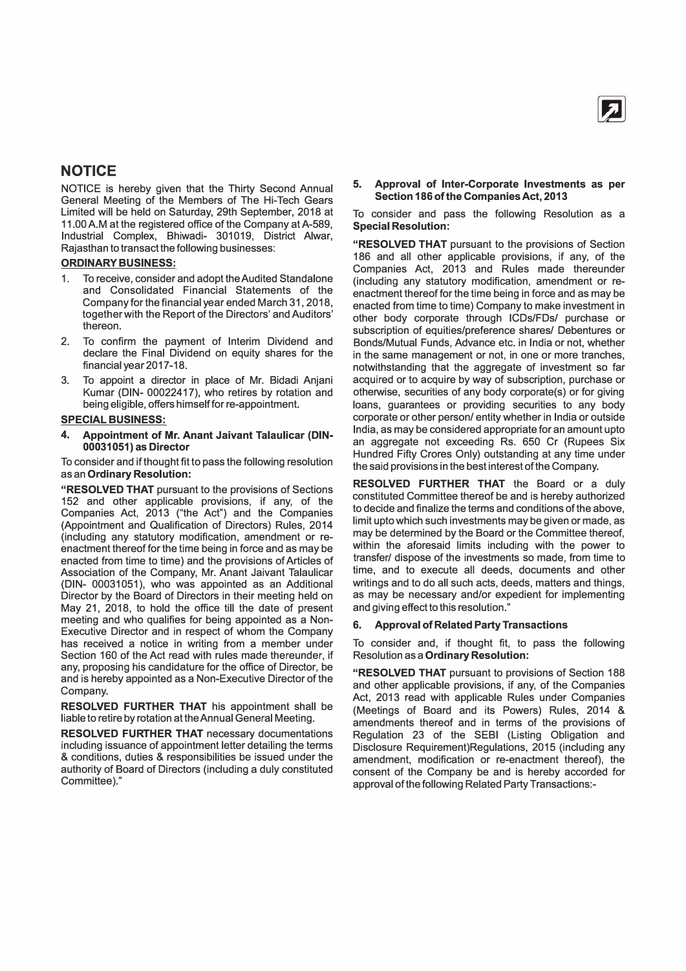

### **NOTICE**

NOTICE is hereby given that the Thirty Second Annual General Meeting of the Members of The Hi-Tech Gears Limited will be held on Saturday, 29th September, 2018 at 11.00 A.M at the registered office of the Company at A-589, Industrial Complex, Bhiwadi- 301019, District Alwar, Rajasthan to transact the following businesses:

### **ORDINARY BUSINESS:**

- 1. To receive, consider and adopt the Audited Standalone and Consolidated Financial Statements of the Company for the financial year ended March 31, 2018, together with the Report of the Directors' and Auditors' thereon.
- 2. To confirm the payment of Interim Dividend and declare the Final Dividend on equity shares for the financial year 2017-18.
- 3. To appoint a director in place of Mr. Bidadi Anjani Kumar (DIN- 00022417), who retires by rotation and being eligible, offers himself for re-appointment.

### **SPECIAL BUSINESS:**

**4. Appointment of Mr. Anant Jaivant Talaulicar (DIN-00031051) as Director**

To consider and if thought fit to pass the following resolution as an **Ordinary Resolution:** 

**"RESOLVED THAT** pursuant to the provisions of Sections 152 and other applicable provisions, if any, of the Companies Act, 2013 ("the Act") and the Companies (Appointment and Qualification of Directors) Rules, 2014 (including any statutory modification, amendment or reenactment thereof for the time being in force and as may be enacted from time to time) and the provisions of Articles of Association of the Company, Mr. Anant Jaivant Talaulicar (DIN- 00031051), who was appointed as an Additional Director by the Board of Directors in their meeting held on May 21, 2018, to hold the office till the date of present meeting and who qualifies for being appointed as a Non-Executive Director and in respect of whom the Company has received a notice in writing from a member under Section 160 of the Act read with rules made thereunder, if any, proposing his candidature for the office of Director, be and is hereby appointed as a Non-Executive Director of the Company.

**RESOLVED FURTHER THAT** his appointment shall be liable to retire by rotation at the Annual General Meeting.

**RESOLVED FURTHER THAT** necessary documentations including issuance of appointment letter detailing the terms & conditions, duties & responsibilities be issued under the authority of Board of Directors (including a duly constituted Committee)."

### **5. Approval of Inter-Corporate Investments as per Section 186 of the Companies Act, 2013**

To consider and pass the following Resolution as a **Special Resolution:** 

**"RESOLVED THAT** pursuant to the provisions of Section 186 and all other applicable provisions, if any, of the Companies Act, 2013 and Rules made thereunder (including any statutory modification, amendment or reenactment thereof for the time being in force and as may be enacted from time to time) Company to make investment in other body corporate through ICDs/FDs/ purchase or subscription of equities/preference shares/ Debentures or Bonds/Mutual Funds, Advance etc. in India or not, whether in the same management or not, in one or more tranches, notwithstanding that the aggregate of investment so far acquired or to acquire by way of subscription, purchase or otherwise, securities of any body corporate(s) or for giving loans, guarantees or providing securities to any body corporate or other person/ entity whether in India or outside India, as may be considered appropriate for an amount upto an aggregate not exceeding Rs. 650 Cr (Rupees Six Hundred Fifty Crores Only) outstanding at any time under the said provisions in the best interest of the Company.

**RESOLVED FURTHER THAT** the Board or a duly constituted Committee thereof be and is hereby authorized to decide and finalize the terms and conditions of the above, limit upto which such investments may be given or made, as may be determined by the Board or the Committee thereof, within the aforesaid limits including with the power to transfer/ dispose of the investments so made, from time to time, and to execute all deeds, documents and other writings and to do all such acts, deeds, matters and things, as may be necessary and/or expedient for implementing and giving effect to this resolution."

### **6. Approval of Related Party Transactions**

To consider and, if thought fit, to pass the following Resolution as a **Ordinary Resolution:** 

**"RESOLVED THAT** pursuant to provisions of Section 188 and other applicable provisions, if any, of the Companies Act, 2013 read with applicable Rules under Companies (Meetings of Board and its Powers) Rules, 2014 & amendments thereof and in terms of the provisions of Regulation 23 of the SEBI (Listing Obligation and Disclosure Requirement)Regulations, 2015 (including any amendment, modification or re-enactment thereof), the consent of the Company be and is hereby accorded for approval of the following Related Party Transactions:-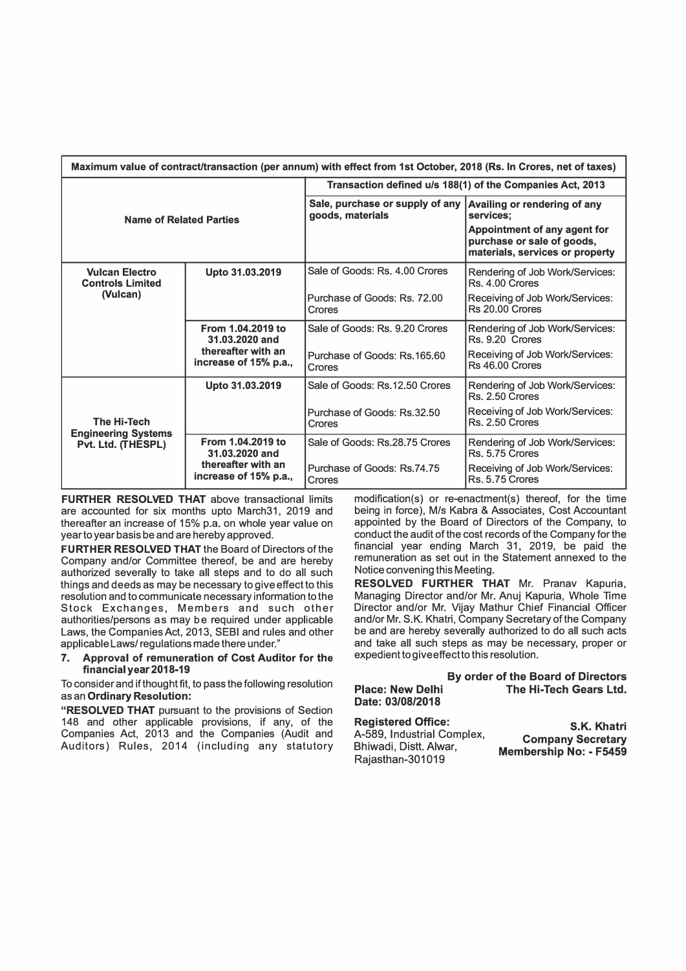| Maximum value of contract/transaction (per annum) with effect from 1st October, 2018 (Rs. In Crores, net of taxes) |                                             |                                                           |                                                                                               |  |
|--------------------------------------------------------------------------------------------------------------------|---------------------------------------------|-----------------------------------------------------------|-----------------------------------------------------------------------------------------------|--|
| <b>Name of Related Parties</b>                                                                                     |                                             | Transaction defined u/s 188(1) of the Companies Act, 2013 |                                                                                               |  |
|                                                                                                                    |                                             | Sale, purchase or supply of any<br>goods, materials       | Availing or rendering of any<br>services:                                                     |  |
|                                                                                                                    |                                             |                                                           | Appointment of any agent for<br>purchase or sale of goods,<br>materials, services or property |  |
| <b>Vulcan Electro</b><br><b>Controls Limited</b>                                                                   | Upto 31.03.2019                             | Sale of Goods: Rs. 4.00 Crores                            | Rendering of Job Work/Services:<br>Rs. 4.00 Crores                                            |  |
| (Vulcan)                                                                                                           |                                             | Purchase of Goods: Rs. 72.00<br>Crores                    | Receiving of Job Work/Services:<br>Rs 20.00 Crores                                            |  |
|                                                                                                                    | From 1.04.2019 to<br>31.03.2020 and         | Sale of Goods: Rs. 9.20 Crores                            | Rendering of Job Work/Services:<br>Rs. 9.20 Crores                                            |  |
|                                                                                                                    | thereafter with an<br>increase of 15% p.a., | Purchase of Goods: Rs.165.60<br>Crores                    | Receiving of Job Work/Services:<br>Rs 46.00 Crores                                            |  |
|                                                                                                                    | Upto 31.03.2019                             | Sale of Goods: Rs.12.50 Crores                            | Rendering of Job Work/Services:<br>Rs. 2.50 Crores                                            |  |
| <b>The Hi-Tech</b><br><b>Engineering Systems</b><br>Pvt. Ltd. (THESPL)                                             |                                             | Purchase of Goods: Rs.32.50<br>Crores                     | Receiving of Job Work/Services:<br>Rs. 2.50 Crores                                            |  |
|                                                                                                                    | From 1.04.2019 to<br>31.03.2020 and         | Sale of Goods: Rs.28.75 Crores                            | Rendering of Job Work/Services:<br>Rs. 5.75 Crores                                            |  |
|                                                                                                                    | thereafter with an<br>increase of 15% p.a., | Purchase of Goods: Rs.74.75<br>Crores                     | Receiving of Job Work/Services:<br>Rs. 5.75 Crores                                            |  |

**FURTHER RESOLVED THAT above transactional limits** are accounted for six months upto March31, 2019 and thereafter an increase of 15% p.a. on whole year value on year to year basis be and are hereby approved.

**FURTHER RESOLVED THAT** the Board of Directors of the Company and/or Committee thereof, be and are hereby authorized severally to take all steps and to do all such things and deeds as may be necessary to give effect to this resolution and to communicate necessary information to the Stock Exchanges, Members and such other authorities/persons as may be required under applicable Laws, the Companies Act, 2013, SEBI and rules and other applicable Laws/ regulations made there under."

### **7. Approval of remuneration of Cost Auditor for the financial year 2018-19**

To consider and if thought fit, to pass the following resolution as an **Ordinary Resolution:** 

**"RESOLVED THAT** pursuant to the provisions of Section 148 and other applicable provisions, if any, of the Companies Act, 2013 and the Companies (Audit and Auditors) Rules, 2014 (including any statutory modification(s) or re-enactment(s) thereof, for the time being in force), M/s Kabra & Associates, Cost Accountant appointed by the Board of Directors of the Company, to conduct the audit of the cost records of the Company for the financial year ending March 31, 2019, be paid the remuneration as set out in the Statement annexed to the Notice convening this Meeting.

**RESOLVED FURTHER THAT** Mr. Pranav Kapuria, Managing Director and/or Mr. Anuj Kapuria, Whole Time Director and/or Mr. Vijay Mathur Chief Financial Officer and/or Mr. S.K. Khatri, Company Secretary of the Company be and are hereby severally authorized to do all such acts and take all such steps as may be necessary, proper or expedient to give effect to this resolution.

|                            | By order of the Board of Directors |
|----------------------------|------------------------------------|
| <b>Place: New Delhi</b>    | The Hi-Tech Gears Ltd.             |
| Date: 03/08/2018           |                                    |
| <b>Registered Office:</b>  | S.K. Khatri                        |
| A-589, Industrial Complex, | <b>Company Secretary</b>           |
| Bhiwadi, Distt. Alwar,     | <b>Membership No: - F5459</b>      |

Rajasthan-301019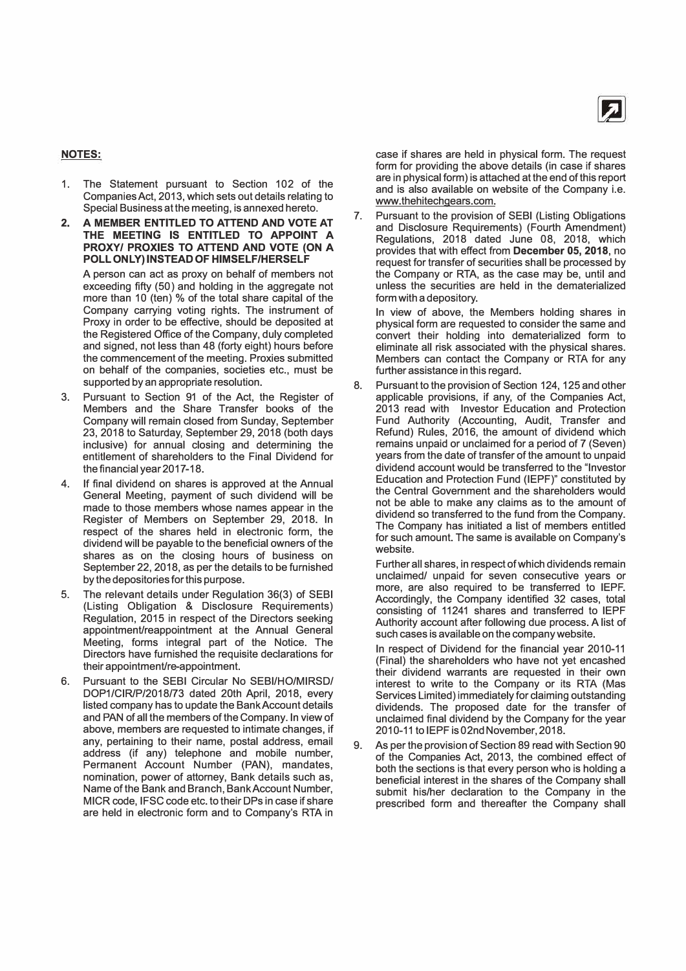

### **NOTES:**

- 1. The Statement pursuant to Section 102 of the Companies Act, 2013, which sets out details relating to Special Business at the meeting, is annexed hereto.
- **2. A MEMBER ENTITLED TO ATTEND AND VOTE AT THE MEETING IS ENTITLED TO APPOINT A PROXY/ PROXIES TO ATTEND AND VOTE {ON A POLL ONLY) INSTEAD OF HIMSELF/HERSELF**

A person can act as proxy on behalf of members not exceeding fifty (50) and holding in the aggregate not more than 10 (ten) % of the total share capital of the Company carrying voting rights. The instrument of Proxy in order to be effective, should be deposited at the Registered Office of the Company, duly completed and signed, not less than 48 (forty eight) hours before the commencement of the meeting. Proxies submitted on behalf of the companies, societies etc., must be supported by an appropriate resolution.

- 3. Pursuant to Section 91 of the Act, the Register of Members and the Share Transfer books of the Company will remain closed from Sunday, September 23, 2018 to Saturday, September 29, 2018 (both days inclusive) for annual closing and determining the entitlement of shareholders to the Final Dividend for the financial year 2017-18.
- 4. If final dividend on shares is approved at the Annual General Meeting, payment of such dividend will be made to those members whose names appear in the Register of Members on September 29, 2018. In respect of the shares held in electronic form, the dividend will be payable to the beneficial owners of the shares as on the closing hours of business on September 22, 2018, as per the details to be furnished by the depositories for this purpose.
- 5. The relevant details under Regulation 36(3) of SEBI (Listing Obligation & Disclosure Requirements) Regulation, 2015 in respect of the Directors seeking appointment/reappointment at the Annual General Meeting, forms integral part of the Notice. The Directors have furnished the requisite declarations for their appointment/re-appointment.
- 6. Pursuant to the SEBI Circular No SEBI/HO/MIRSD/ DOP1/CIR/P/2018/73 dated 2oth April, 2018, every listed company has to update the Bank Account details and PAN of all the members of the Company. In view of above, members are requested to intimate changes, if any, pertaining to their name, postal address, email address (if any) telephone and mobile number, Permanent Account Number (PAN), mandates, nomination, power of attorney, Bank details such as, Name of the Bank and Branch, Bank Account Number, MICR code, IFSC code etc. to their DPs in case if share are held in electronic form and to Company's RTA in

case if shares are held in physical form. The request form for providing the above details (in case if shares are in physical form) is attached at the end of this report and is also available on website of the Company i.e. www.thehitechgears.com.

7. Pursuant to the provision of SEBI (Listing Obligations and Disclosure Requirements) (Fourth Amendment) Regulations, 2018 dated June 08, 2018, which provides that with effect from **December 05, 2018,** no request for transfer of securities shall be processed by the Company or RTA, as the case may be, until and unless the securities are held in the dematerialized form with a depository.

In view of above, the Members holding shares in physical form are requested to consider the same and convert their holding into dematerialized form to eliminate all risk associated with the physical shares. Members can contact the Company or RTA for any further assistance in this regard.

8. Pursuant to the provision of Section 124, 125 and other applicable provisions, if any, of the Companies Act, 2013 read with Investor Education and Protection Fund Authority (Accounting, Audit, Transfer and Refund) Rules, 2016, the amount of dividend which remains unpaid or unclaimed for a period of 7 (Seven) years from the date of transfer of the amount to unpaid dividend account would be transferred to the "Investor Education and Protection Fund (IEPF)" constituted by the Central Government and the shareholders would not be able to make any claims as to the amount of dividend so transferred to the fund from the Company. The Company has initiated a list of members entitled for such amount. The same is available on Company's website.

Further all shares, in respect of which dividends remain unclaimed/ unpaid for seven consecutive years or more, are also required to be transferred to IEPF. Accordingly, the Company identified 32 cases, total consisting of 11241 shares and transferred to IEPF Authority account after following due process. A list of such cases is available on the company website.

In respect of Dividend for the financial year 2010-11 (Final) the shareholders who have not yet encashed their dividend warrants are requested in their own interest to write to the Company or its RTA (Mas Services Limited) immediately for claiming outstanding dividends. The proposed date for the transfer of unclaimed final dividend by the Company for the year 2010-11 to IEPF is 02nd November, 2018.

9. As per the provision of Section 89 read with Section 90 of the Companies Act, 2013, the combined effect of both the sections is that every person who is holding a beneficial interest in the shares of the Company shall submit his/her declaration to the Company in the prescribed form and thereafter the Company shall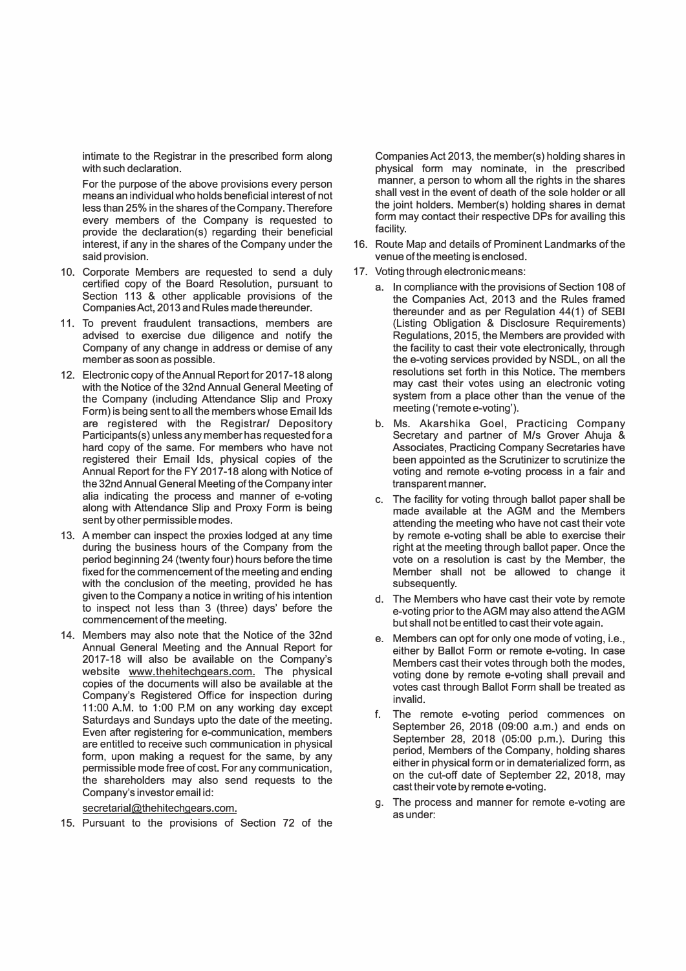intimate to the Registrar in the prescribed form along with such declaration.

For the purpose of the above provisions every person means an individual who holds beneficial interest of not less than 25% in the shares of the Company. Therefore every members of the Company is requested to provide the declaration(s) regarding their beneficial interest, if any in the shares of the Company under the said provision.

- 10. Corporate Members are requested to send a duly certified copy of the Board Resolution, pursuant to Section 113 & other applicable provisions of the Companies Act, 2013 and Rules made thereunder.
- 11. To prevent fraudulent transactions, members are advised to exercise due diligence and notify the Company of any change in address or demise of any member as soon as possible.
- 12. Electronic copy of the Annual Report for 2017-18 along with the Notice of the 32nd Annual General Meeting of the Company (including Attendance Slip and Proxy Form) is being sent to all the members whose Email Ids are registered with the Registrar/ Depository Participants(s) unless any member has requested for a hard copy of the same. For members who have not registered their Email Ids, physical copies of the Annual Report for the FY 2017-18 along with Notice of the 32ndAnnual General Meeting of the Company inter alia indicating the process and manner of e-voting along with Attendance Slip and Proxy Form is being sent by other permissible modes.
- 13. A member can inspect the proxies lodged at any time during the business hours of the Company from the period beginning 24 (twenty four) hours before the time fixed for the commencement of the meeting and ending with the conclusion of the meeting, provided he has given to the Company a notice in writing of his intention to inspect not less than 3 (three) days' before the commencement of the meeting.
- 14. Members may also note that the Notice of the 32nd Annual General Meeting and the Annual Report for 2017-18 will also be available on the Company's website www.thehitechgears.com. The physical copies of the documents will also be available at the Company's Registered Office for inspection during 11:00 A.M. to 1:00 P.M on any working day except Saturdays and Sundays upto the date of the meeting. Even after registering for e-communication, members are entitled to receive such communication in physical form, upon making a request for the same, by any permissible mode free of cost. For any communication, the shareholders may also send requests to the Company's investor email id:

secretarial@thehitechgears.com.

15. Pursuant to the provisions of Section 72 of the

Companies Act 2013, the member(s) holding shares in physical form may nominate, in the prescribed manner, a person to whom all the rights in the shares shall vest in the event of death of the sole holder or all the joint holders. Member(s) holding shares in demat form may contact their respective DPs for availing this facility.

- 16. Route Map and details of Prominent Landmarks of the venue of the meeting is enclosed.
- 17. Voting through electronic means:
	- a. In compliance with the provisions of Section 108 of the Companies Act, 2013 and the Rules framed thereunder and as per Regulation 44(1) of SEBI (Listing Obligation & Disclosure Requirements) Regulations, 2015, the Members are provided with the facility to cast their vote electronically, through the e-voting services provided by NSDL, on all the resolutions set forth in this Notice. The members may cast their votes using an electronic voting system from a place other than the venue of the meeting ('remote e-voting').
	- b. Ms. Akarshika Goel, Practicing Company Secretary and partner of M/s Grover Ahuja & Associates, Practicing Company Secretaries have been appointed as the Scrutinizer to scrutinize the voting and remote e-voting process in a fair and transparent manner.
	- c. The facility for voting through ballot paper shall be made available at the AGM and the Members attending the meeting who have not cast their vote by remote e-voting shall be able to exercise their right at the meeting through ballot paper. Once the vote on a resolution is cast by the Member, the Member shall not be allowed to change it subsequently.
	- d. The Members who have cast their vote by remote e-voting prior to the AGM may also attend the AGM but shall not be entitled to cast their vote again.
	- e. Members can opt for only one mode of voting, i.e., either by Ballot Form or remote e-voting. In case Members cast their votes through both the modes, voting done by remote e-voting shall prevail and votes cast through Ballot Form shall be treated as invalid.
	- f. The remote e-voting period commences on September 26, 2018 (09:00 a.m.) and ends on September 28, 2018 (05:00 p.m.). During this period, Members of the Company, holding shares either in physical form or in dematerialized form, as on the cut-off date of September 22, 2018, may cast their vote by remote e-voting.
	- g. The process and manner for remote e-voting are as under: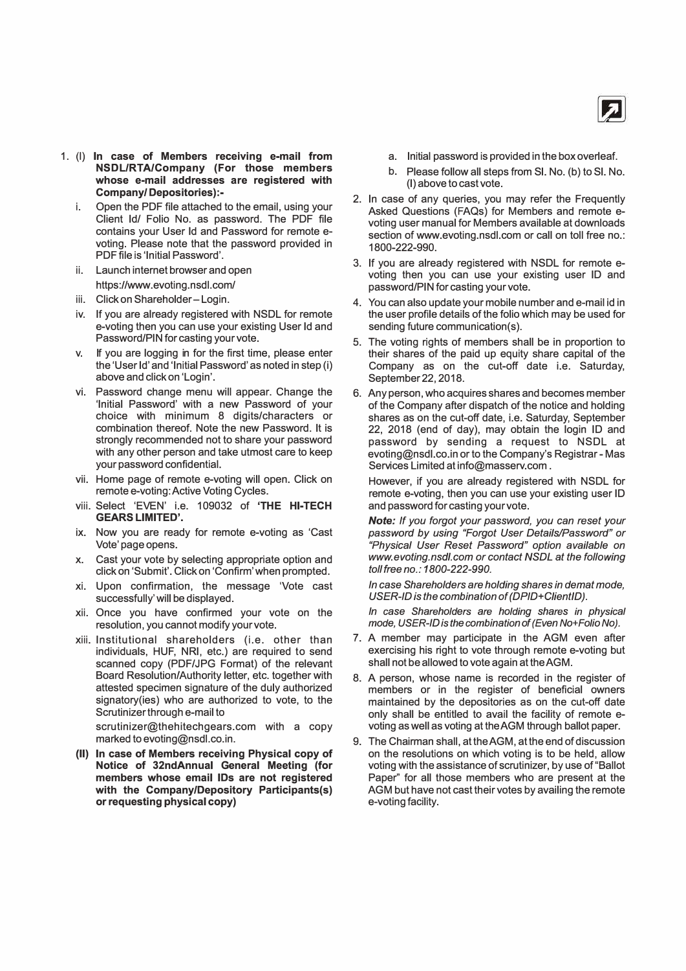

- 1. (I) **In case of Members receiving e-mail from NSDL/RTA/Company (For those members whose e-mail addresses are registered with Company/ Depositories):**
	- i. Open the PDF file attached to the email, using your Client Id/ Folio No. as password. The PDF file contains your User Id and Password for remote evoting. Please note that the password provided in PDF file is 'Initial Password'.
	- ii. Launch internet browser and open https://www.evoting.nsdl.com/
	- iii. Click on Shareholder-Login.
	- iv. If you are already registered with NSDL for remote e-voting then you can use your existing User Id and Password/PIN for casting your vote.
	- v. If you are logging in for the first time, please enter the 'User Id' and 'Initial Password' as noted in step (i) above and click on 'Login'.
	- vi. Password change menu will appear. Change the 'Initial Password' with a new Password of your choice with minimum 8 digits/characters or combination thereof. Note the new Password. It is strongly recommended not to share your password with any other person and take utmost care to keep your password confidential.
	- vii. Home page of remote e-voting will open. Click on remote e-voting: Active Voting Cycles.
	- viii. Select 'EVEN' i.e. 109032 of **'THE HI-TECH GEARS LIMITED'.**
	- ix. Now you are ready for remote e-voting as 'Cast Vote' page opens.
	- x. Cast your vote by selecting appropriate option and click on 'Submit'. Click on 'Confirm'when prompted.
	- xi. Upon confirmation, the message 'Vote cast successfully' will be displayed.
	- xii. Once you have confirmed your vote on the resolution, you cannot modify your vote.
	- **xiii.** Institutional shareholders (i.e. other than individuals, HUF, NRI, etc.) are required to send scanned copy (PDF/JPG Format) of the relevant Board Resolution/Authority letter, etc. together with attested specimen signature of the duly authorized signatory(ies) who are authorized to vote, to the Scrutinizer through e-mail to

scrutinizer@thehitechgears.com with a copy marked to evoting@nsdl.co.in.

(II) **In case of Members receiving Physical copy of Notice of 32ndAnnual General Meeting (for members whose email IDs are not registered with the Company/Depository Participants(s) or requesting physical copy)**

- a. Initial password is provided in the box overleaf.
- b. Please follow all steps from SI. No. {b) to SI. No. (I) above to cast vote.
- 2. In case of any queries, you may refer the Frequently Asked Questions (FAQs) for Members and remote evoting user manual for Members available at downloads section of www.evoting.nsdl.com or call on toll free no.: 1800-222-990.
- 3. If you are already registered with NSDL for remote evoting then you can use your existing user ID and password/PIN for casting your vote.
- 4. You can also update your mobile number and e-mail id in the user profile details of the folio which may be used for sending future communication(s).
- 5. The voting rights of members shall be in proportion to their shares of the paid up equity share capital of the Company as on the cut-off date i.e. Saturday, September 22, 2018.
- 6. Any person, who acquires shares and becomes member of the Company after dispatch of the notice and holding shares as on the cut-off date, i.e. Saturday, September 22, 2018 (end of day), may obtain the login ID and password by sending a request to NSDL at evoting@nsdl.co.in or to the Company's Registrar - Mas Services Limited at info@masserv.com .

However, if you are already registered with NSDL for remote e-voting, then you can use your existing user ID and password for casting your vote.

*Note: If you forgot your password, you can reset your password by using "Forgot User Details/Password" or "Physical User Reset Password" option available on www.evoting.nsdl.com or contact NSDL at the following toll free no.: 1800-222-990.*

*In case Shareholders are holding shares in demat mode,* USER-ID is the combination of (DPID+ClientID).

*In case Shareholders are holding shares in physical mode, USER-ID is the combination of (Even No+Folio No).*

- 7. A member may participate in the AGM even after exercising his right to vote through remote e-voting but shall not be allowed to vote again at theAGM.
- 8. A person, whose name is recorded in the register of members or in the register of beneficial owners maintained by the depositories as on the cut-off date only shall be entitled to avail the facility of remote evoting as well as voting at theAGM through ballot paper.
- 9. The Chairman shall, at theAGM, at the end of discussion on the resolutions on which voting is to be held, allow voting with the assistance of scrutinizer, by use of "Ballot Paper" for all those members who are present at the AGM but have not cast their votes by availing the remote e-voting facility.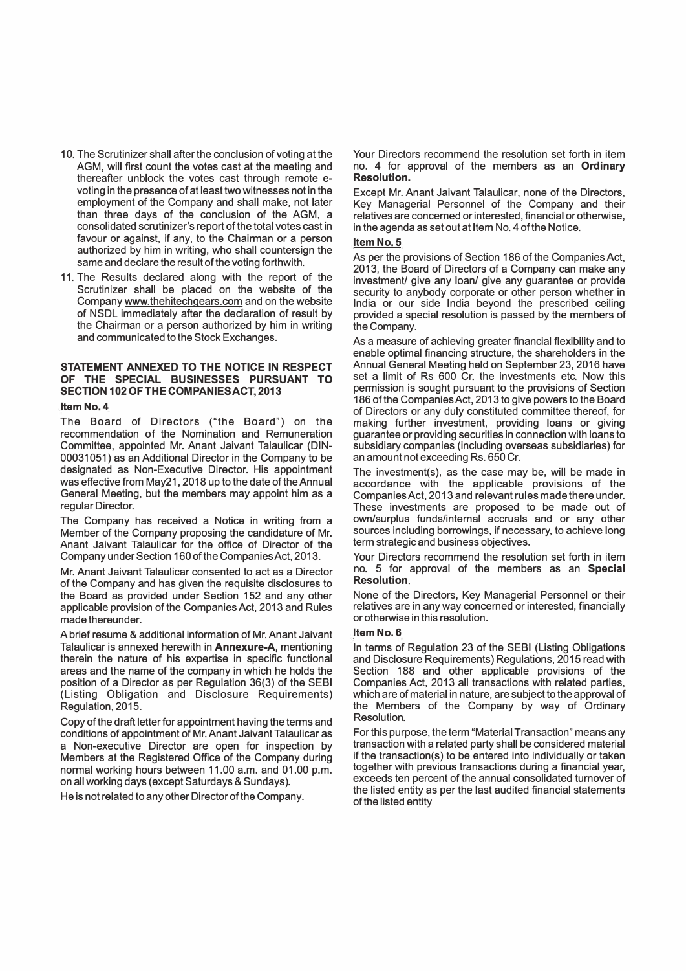- 10. The Scrutinizer shall after the conclusion of voting at the AGM, will first count the votes cast at the meeting and thereafter unblock the votes cast through remote evoting in the presence of at least two witnesses not in the employment of the Company and shall make, not later than three days of the conclusion of the AGM, a consolidated scrutinizer's report of the total votes cast in favour or against, if any, to the Chairman or a person authorized by him in writing, who shall countersign the same and declare the result of the voting forthwith.
- 11. The Results declared along with the report of the Scrutinizer shall be placed on the website of the Company www.thehitechgears.com and on the website of NSDL immediately after the declaration of result by the Chairman or a person authorized by him in writing and communicated to the Stock Exchanges.

### **STATEMENT ANNEXED TO THE NOTICE IN RESPECT OF THE SPECIAL BUSINESSES PURSUANT TO SECTION 102 OF THE COMPANIES ACT, 2013**

### **ltemNo.4**

The Board of Directors ("the Board") on the recommendation of the Nomination and Remuneration Committee, appointed Mr. Anant Jaivant Talaulicar (DIN-00031051) as an Additional Director in the Company to be designated as Non-Executive Director. His appointment was effective from May21, 2018 up to the date of theAnnual General Meeting, but the members may appoint him as a regular Director.

The Company has received a Notice in writing from a Member of the Company proposing the candidature of Mr. Anant Jaivant Talaulicar for the office of Director of the Company under Section 160 of the Companies Act, 2013.

Mr. Anant Jaivant Talaulicar consented to act as a Director of the Company and has given the requisite disclosures to the Board as provided under Section 152 and any other applicable provision of the Companies Act, 2013 and Rules made thereunder.

A brief resume & additional information of Mr. Anant Jaivant Talaulicar is annexed herewith in **Annexure-A,** mentioning therein the nature of his expertise in specific functional areas and the name of the company in which he holds the position of a Director as per Regulation 36(3) of the SEBI (Listing Obligation and Disclosure Requirements) Regulation, 2015.

Copy of the draft letter for appointment having the terms and conditions of appointment of Mr. Anant Jaivant Talaulicar as a Non-executive Director are open for inspection by Members at the Registered Office of the Company during normal working hours between 11.00 a.m. and 01.00 p.m. on all working days (except Saturdays & Sundays).

He is not related to any other Director of the Company.

Your Directors recommend the resolution set forth in item no. 4 for approval of the members as an **Ordinary Resolution.** 

Except Mr. Anant Jaivant Talaulicar, none of the Directors, Key Managerial Personnel of the Company and their relatives are concerned or interested, financial or otherwise, in the agenda as set out at Item No. 4 of the Notice.

#### **ltemNo.5**

As per the provisions of Section 186 of the Companies Act, 2013, the Board of Directors of a Company can make any investment/ give any loan/ give any guarantee or provide security to anybody corporate or other person whether in India or our side India beyond the prescribed ceiling provided a special resolution is passed by the members of the Company.

As a measure of achieving greater financial flexibility and to enable optimal financing structure, the shareholders in the Annual General Meeting held on September 23, 2016 have set a limit of Rs 600 Cr. the investments etc. Now this permission is sought pursuant to the provisions of Section 186 of the Companies Act, 2013 to give powers to the Board of Directors or any duly constituted committee thereof, for making further investment, providing loans or giving guarantee or providing securities in connection with loans to subsidiary companies (including overseas subsidiaries) for an amount not exceeding Rs. 650 Cr.

The investment(s), as the case may be, will be made in accordance with the applicable provisions of the Companies Act, 2013 and relevant rules made there under. These investments are proposed to be made out of own/surplus funds/internal accruals and or any other sources including borrowings, if necessary, to achieve long term strategic and business objectives.

Your Directors recommend the resolution set forth in item no. 5 for approval of the members as an **Special Resolution.** 

None of the Directors, Key Managerial Personnel or their relatives are in any way concerned or interested, financially or otherwise in this resolution.

#### **ltemNo.6**

In terms of Regulation 23 of the SEBI (Listing Obligations and Disclosure Requirements) Regulations, 2015 read with Section 188 and other applicable provisions of the Companies Act, 2013 all transactions with related parties, which are of material in nature, are subject to the approval of the Members of the Company by way of Ordinary **Resolution** 

For this purpose, the term "Material Transaction" means any transaction with a related party shall be considered material if the transaction(s) to be entered into individually or taken together with previous transactions during a financial year, exceeds ten percent of the annual consolidated turnover of the listed entity as per the last audited financial statements of the listed entity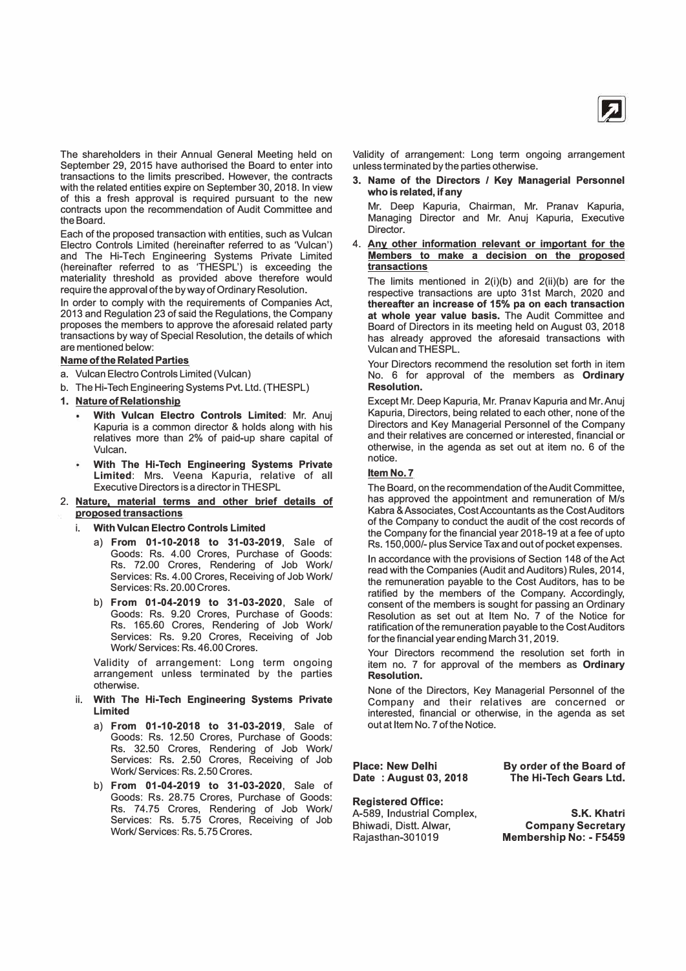

The shareholders in their Annual General Meeting held on September 29, 2015 have authorised the Board to enter into transactions to the limits prescribed. However, the contracts with the related entities expire on September 30, 2018. In view of this a fresh approval is required pursuant to the new contracts upon the recommendation of Audit Committee and the Board.

Each of the proposed transaction with entities, such as Vulcan Electro Controls Limited (hereinafter referred to as 'Vulcan') and The Hi-Tech Engineering Systems Private Limited (hereinafter referred to as 'THESPL') is exceeding the materiality threshold as provided above therefore would require the approval of the by way of Ordinary Resolution.

In order to comply with the requirements of Companies Act, 2013 and Regulation 23 of said the Regulations, the Company proposes the members to approve the aforesaid related party transactions by way of Special Resolution, the details of which are mentioned below:

### **Name of the Related Parties**

- a. Vulcan Electro Controls Limited (Vulcan)
- b. The Hi-Tech Engineering Systems Pvt. Ltd. (THESPL)
- **1. Nature of Relationship**
	- **With Vulcan Electro Controls Limited:** Mr. Anuj Kapuria is a common director & holds along with his relatives more than 2% of paid-up share capital of Vulcan.
	- **With The Hi-Tech Engineering Systems Private Limited:** Mrs. Veena Kapuria, relative of all Executive Directors is a director in THESPL
- **2. Nature, material terms and other brief details of proposed transactions**
	- i. **With Vulcan Electro Controls Limited**
		- a) **From 01-10-2018 to 31-03-2019,** Sale of Goods: Rs. 4.00 Crores, Purchase of Goods: Rs. 72.00 Crores, Rendering of Job Work/ Services: Rs. 4.00 Crores, Receiving of Job Work/ Services: Rs. 20.00 Crores.
		- b) **From 01-04-2019 to 31-03-2020,** Sale of Goods: Rs. 9.20 Crores, Purchase of Goods: Rs. 165.60 Crores, Rendering of Job Work/ Services: Rs. 9.20 Crores, Receiving of Job Work/ Services: Rs. 46.00 Crores.

Validity of arrangement: Long term ongoing arrangement unless terminated by the parties otherwise.

- ii. **With The Hi-Tech Engineering Systems Private Limited**
	- a) **From 01-10-2018 to 31-03-2019,** Sale of Goods: Rs. 12.50 Crores, Purchase of Goods: Rs. 32.50 Crores, Rendering of Job Work/ Services: Rs. 2.50 Crores, Receiving of Job Work/ Services: Rs. 2.50 Crores.
	- b) **From 01-04-2019 to 31-03-2020,** Sale of Goods: Rs. 28.75 Crores, Purchase of Goods: Rs. 74.75 Crores, Rendering of Job Work/ Services: Rs. 5.75 Crores, Receiving of Job Work/ Services: Rs. 5. 75 Crores.

Validity of arrangement: Long term ongoing arrangement unless terminated by the parties otherwise.

**3. Name of the Directors** *I* **Key Managerial Personnel who is related, if any**

Mr. Deep Kapuria, Chairman, Mr. Pranav Kapuria, Managing Director and Mr. Anuj Kapuria, Executive Director.

**4. Any other information relevant or important for the Members to make a decision on the proposed transactions**

The limits mentioned in  $2(i)(b)$  and  $2(ii)(b)$  are for the respective transactions are upto 31st March, 2020 and **thereafter an increase of 15% pa on each transaction at whole year value basis.** The Audit Committee and Board of Directors in its meeting held on August 03, 2018 has already approved the aforesaid transactions with Vulcan and THESPL.

Your Directors recommend the resolution set forth in item No. 6 for approval of the members as **Ordinary Resolution.**

Except Mr. Deep Kapuria, Mr. Pranav Kapuria and Mr. Anuj Kapuria, Directors, being related to each other, none of the Directors and Key Managerial Personnel of the Company and their relatives are concerned or interested, financial or otherwise, in the agenda as set out at item no. 6 of the notice.

### **Item No. 7**

The Board, on the recommendation of the Audit Committee, has approved the appointment and remuneration of M/s Kabra &Associates, CostAccountants as the CostAuditors of the Company to conduct the audit of the cost records of the Company for the financial year 2018-19 at a fee of upto Rs. 150,000/- plus Service Tax and out of pocket expenses.

In accordance with the provisions of Section 148 of the Act read with the Companies (Audit and Auditors) Rules, 2014, the remuneration payable to the Cost Auditors, has to be ratified by the members of the Company. Accordingly, consent of the members is sought for passing an Ordinary Resolution as set out at Item No. 7 of the Notice for ratification of the remuneration payable to the Cost Auditors for the financial year ending March 31, 2019.

Your Directors recommend the resolution set forth in item no. 7 for approval of the members as **Ordinary Resolution.**

None of the Directors, Key Managerial Personnel of the Company and their relatives are concerned or interested, financial or otherwise, in the agenda as set out at Item No. 7 of the Notice.

**Place: New Delhi Date : August 03, 2018**  **By order of the Board of The Hi-Tech Gears Ltd.** 

**Registered Office:**  A-589, Industrial Complex, Bhiwadi, Distt. Alwar, Rajasthan-301019

**S.K. Khatri Company Secretary Membership No: - F5459**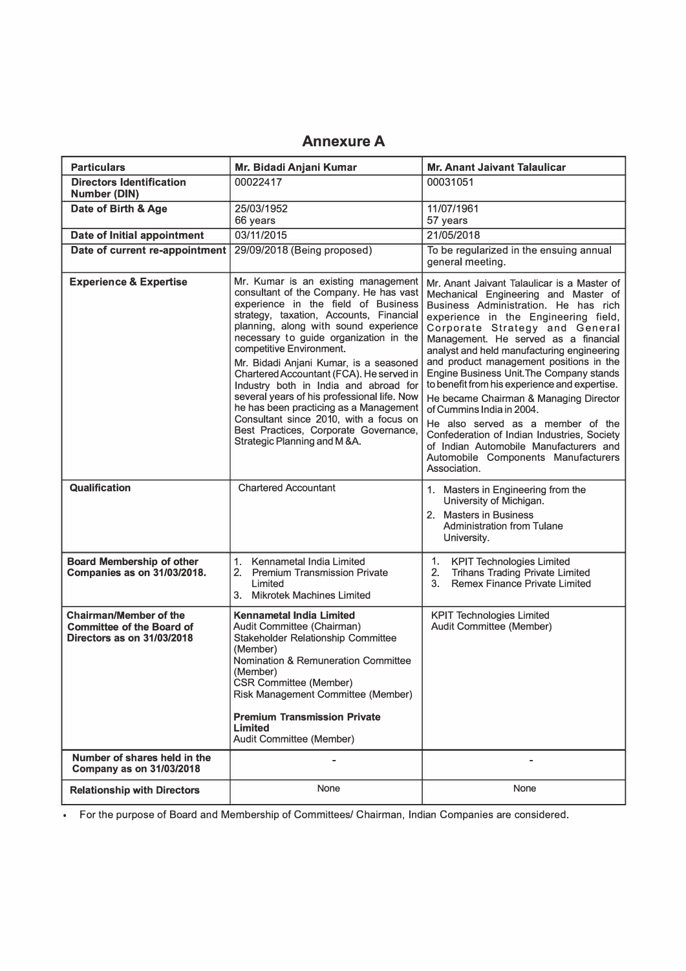### **AnnexureA**

| <b>Particulars</b>                                                                              | Mr. Bidadi Anjani Kumar                                                                                                                                                                                                                                                                                                                                                                                                                                                                                                                                                                                                   | <b>Mr. Anant Jaivant Talaulicar</b>                                                                                                                                                                                                                                                                                                                                                                                                                                                                                                                                                                                                                                                             |  |
|-------------------------------------------------------------------------------------------------|---------------------------------------------------------------------------------------------------------------------------------------------------------------------------------------------------------------------------------------------------------------------------------------------------------------------------------------------------------------------------------------------------------------------------------------------------------------------------------------------------------------------------------------------------------------------------------------------------------------------------|-------------------------------------------------------------------------------------------------------------------------------------------------------------------------------------------------------------------------------------------------------------------------------------------------------------------------------------------------------------------------------------------------------------------------------------------------------------------------------------------------------------------------------------------------------------------------------------------------------------------------------------------------------------------------------------------------|--|
| <b>Directors Identification</b><br><b>Number (DIN)</b>                                          | 00022417                                                                                                                                                                                                                                                                                                                                                                                                                                                                                                                                                                                                                  | 00031051                                                                                                                                                                                                                                                                                                                                                                                                                                                                                                                                                                                                                                                                                        |  |
| Date of Birth & Age                                                                             | 25/03/1952<br>66 years                                                                                                                                                                                                                                                                                                                                                                                                                                                                                                                                                                                                    | 11/07/1961<br>57 years                                                                                                                                                                                                                                                                                                                                                                                                                                                                                                                                                                                                                                                                          |  |
| <b>Date of Initial appointment</b>                                                              | 03/11/2015                                                                                                                                                                                                                                                                                                                                                                                                                                                                                                                                                                                                                | 21/05/2018                                                                                                                                                                                                                                                                                                                                                                                                                                                                                                                                                                                                                                                                                      |  |
| Date of current re-appointment                                                                  | 29/09/2018 (Being proposed)                                                                                                                                                                                                                                                                                                                                                                                                                                                                                                                                                                                               | To be regularized in the ensuing annual<br>general meeting.                                                                                                                                                                                                                                                                                                                                                                                                                                                                                                                                                                                                                                     |  |
| <b>Experience &amp; Expertise</b>                                                               | Mr. Kumar is an existing management<br>consultant of the Company. He has vast<br>experience in the field of Business<br>strategy, taxation, Accounts, Financial<br>planning, along with sound experience<br>necessary to guide organization in the<br>competitive Environment.<br>Mr. Bidadi Anjani Kumar, is a seasoned<br>Chartered Accountant (FCA). He served in<br>Industry both in India and abroad for<br>several years of his professional life. Now<br>he has been practicing as a Management<br>Consultant since 2010, with a focus on<br>Best Practices, Corporate Governance,<br>Strategic Planning and M &A. | Mr. Anant Jaivant Talaulicar is a Master of<br>Mechanical Engineering and Master of<br>Business Administration. He has rich<br>experience in the Engineering field,<br>Corporate Strategy and General<br>Management. He served as a financial<br>analyst and held manufacturing engineering<br>and product management positions in the<br>Engine Business Unit. The Company stands<br>to benefit from his experience and expertise.<br>He became Chairman & Managing Director<br>of Cummins India in 2004.<br>He also served as a member of the<br>Confederation of Indian Industries, Society<br>of Indian Automobile Manufacturers and<br>Automobile Components Manufacturers<br>Association. |  |
| Qualification                                                                                   | <b>Chartered Accountant</b>                                                                                                                                                                                                                                                                                                                                                                                                                                                                                                                                                                                               | 1. Masters in Engineering from the<br>University of Michigan.<br>2. Masters in Business<br><b>Administration from Tulane</b><br>University.                                                                                                                                                                                                                                                                                                                                                                                                                                                                                                                                                     |  |
| <b>Board Membership of other</b><br><b>Companies as on 31/03/2018.</b>                          | Kennametal India Limited<br>1.<br><b>Premium Transmission Private</b><br>2.<br>Limited<br>3. Mikrotek Machines Limited                                                                                                                                                                                                                                                                                                                                                                                                                                                                                                    | 1.<br><b>KPIT Technologies Limited</b><br><b>Trihans Trading Private Limited</b><br>2.<br>3.<br><b>Remex Finance Private Limited</b>                                                                                                                                                                                                                                                                                                                                                                                                                                                                                                                                                            |  |
| <b>Chairman/Member of the</b><br><b>Committee of the Board of</b><br>Directors as on 31/03/2018 | <b>Kennametal India Limited</b><br>Audit Committee (Chairman)<br>Stakeholder Relationship Committee<br>(Member)<br><b>Nomination &amp; Remuneration Committee</b><br>(Member)<br><b>CSR Committee (Member)</b><br>Risk Management Committee (Member)<br><b>Premium Transmission Private</b><br>Limited<br>Audit Committee (Member)                                                                                                                                                                                                                                                                                        | <b>KPIT Technologies Limited</b><br>Audit Committee (Member)                                                                                                                                                                                                                                                                                                                                                                                                                                                                                                                                                                                                                                    |  |
| Number of shares held in the<br><b>Company as on 31/03/2018</b>                                 |                                                                                                                                                                                                                                                                                                                                                                                                                                                                                                                                                                                                                           |                                                                                                                                                                                                                                                                                                                                                                                                                                                                                                                                                                                                                                                                                                 |  |
| <b>Relationship with Directors</b>                                                              | None                                                                                                                                                                                                                                                                                                                                                                                                                                                                                                                                                                                                                      | None                                                                                                                                                                                                                                                                                                                                                                                                                                                                                                                                                                                                                                                                                            |  |

For the purpose of Board and Membership of Committees/ Chairman, Indian Companies are considered.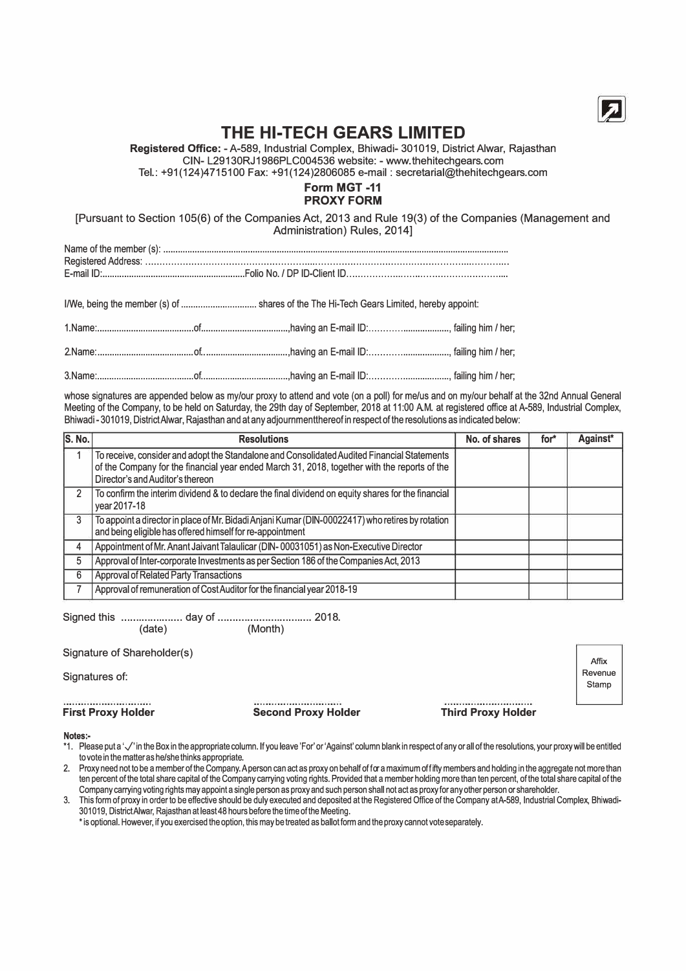

### **THE HI-TECH GEARS LIMITED**

**Registered Office:** -A-589, Industrial Complex, Bhiwadi- 301019, District Alwar, Rajasthan CIN- L29130RJ1986PLC004536 website: - www.thehitechgears.com

Tel.: +91(124)4715100 Fax: +91(124)2806085 e-mail : secretarial@thehitechgears.com

### **Form MGT-11 PROXY FORM**

[Pursuant to Section 105(6) of the Companies Act, 2013 and Rule 19(3) of the Companies (Management and Administration) Rules, 2014]

|  | I/We, being the member (s) of  shares of the The Hi-Tech Gears Limited, hereby appoint: |  |
|--|-----------------------------------------------------------------------------------------|--|
|  |                                                                                         |  |
|  |                                                                                         |  |
|  |                                                                                         |  |

whose signatures are appended below as my/our proxy to attend and vote (on a poll) for me/us and on my/our behalf at the 32nd Annual General Meeting of the Company, to be held on Saturday, the 29th day of September, 2018 at 11 :00 A.M. at registered office at A-589, Industrial Complex, Bhiwadi - 301019, DistrictAlwar, Rajasthan and at any adjournmentthereof in respect of the resolutions as indicated below:

| S. No. | <b>Resolutions</b>                                                                                                                                                                                                              | No. of shares | for* | Against* |
|--------|---------------------------------------------------------------------------------------------------------------------------------------------------------------------------------------------------------------------------------|---------------|------|----------|
|        | To receive, consider and adopt the Standalone and Consolidated Audited Financial Statements<br>of the Company for the financial year ended March 31, 2018, together with the reports of the<br>Director's and Auditor's thereon |               |      |          |
| 2      | To confirm the interim dividend & to declare the final dividend on equity shares for the financial<br>year 2017-18                                                                                                              |               |      |          |
| 3      | To appoint a director in place of Mr. Bidadi Anjani Kumar (DIN-00022417) who retires by rotation<br>and being eligible has offered himself for re-appointment                                                                   |               |      |          |
| 4      | Appointment of Mr. Anant Jaivant Talaulicar (DIN-00031051) as Non-Executive Director                                                                                                                                            |               |      |          |
| 5      | Approval of Inter-corporate Investments as per Section 186 of the Companies Act, 2013                                                                                                                                           |               |      |          |
| 6      | Approval of Related Party Transactions                                                                                                                                                                                          |               |      |          |
|        | Approval of remuneration of Cost Auditor for the financial year 2018-19                                                                                                                                                         |               |      |          |

Signed this ..................... day of ................................ 2018.

(date) (Month)

### Signature of Shareholder(s)

Signatures of:

### **First Proxy Holder Second Proxy Holder Third Proxy Holder**

Affix Revenue **Stamp** 

### **Notes:-**

- \*1. Please put a'✓' in the Box in the appropriate column. If you leave 'For' or 'Against' column blank in respect of any or all ofthe resolutions, your proxy will be entitled to vote in the matter as he/she thinks appropriate.
- 2. Proxy need not to be a member of the Company. A person can act as proxy on behalf of for a maximum offifty members and holding in the aggregate not more than ten percent of the total share capital of the Company carrying voting rights. Provided that a member holding more than ten percent, of the total share capital ofthe Company carrying voting rights may appoint a single person as proxy and such person shall not act as proxy for any other person or shareholder.

3. This form of proxy in order to be effective should be duly executed and deposited at the Registered Office of the Company atA-589, Industrial Complex, Bhiwadi-301019, DistrictAlwar, Rajasthan at least48 hours before the time of the Meeting.

• is optional. However, if you exercised the option, this may be treated as ballot form and the proxy cannot vote separately.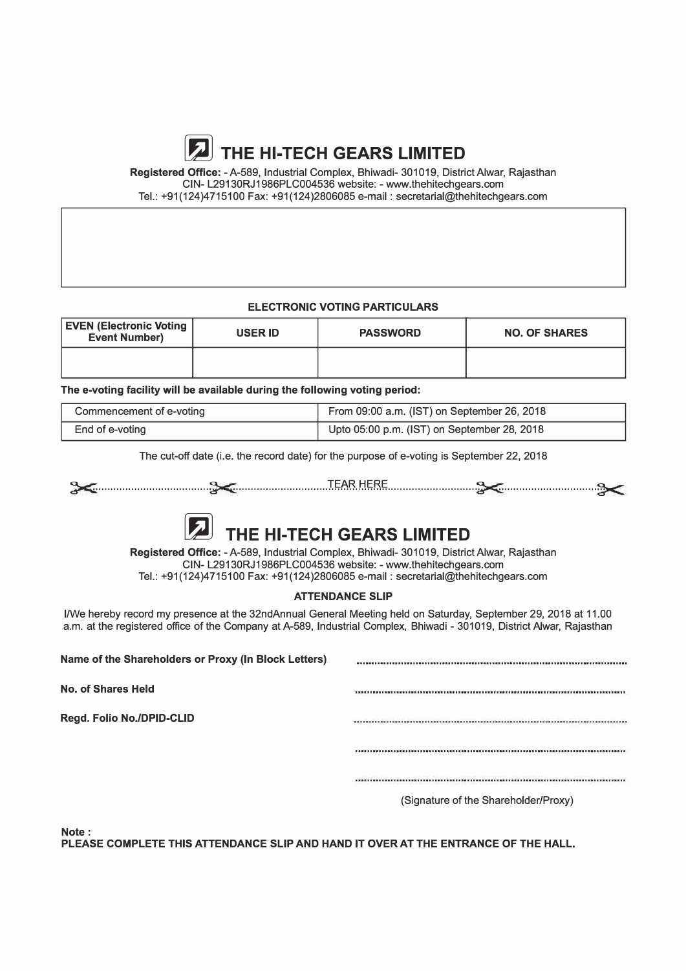# **� THE HI-TECH GEARS LIMITED**

**Registered Office:** -A-589, Industrial Complex, Bhiwadi- 301019, District Alwar, Rajasthan CIN- L29130RJ1986PLC004536 website: - www.thehitechgears.com Tel.: +91(124)4715100 Fax: +91(124)2806085 e-mail : secretarial@thehitechgears.com

### **ELECTRONIC VOTING PARTICULARS**

| <b>EVEN (Electronic Voting  </b><br><b>Event Number)</b> | <b>USER ID</b> | <b>PASSWORD</b> | <b>NO. OF SHARES</b> |  |
|----------------------------------------------------------|----------------|-----------------|----------------------|--|
|                                                          |                |                 |                      |  |

**The e-voting facility will be available during the following voting period:** 

| Commencement of e-voting | From 09:00 a.m. (IST) on September 26, 2018 |
|--------------------------|---------------------------------------------|
| End of e-voting          | Upto 05:00 p.m. (IST) on September 28, 2018 |

The cut-off date (i.e. the record date) for the purpose of e-voting is September 22, 2018



**Registered Office:** -A-589, Industrial Complex, Bhiwadi- 301019, District Alwar, Rajasthan CIN- L29130RJ1986PLC004536 website: - www.thehitechgears.com Tel.: +91(124)4715100 Fax: +91(124)2806085 e-mail : secretarial@thehitechgears.com

### **ATTENDANCE SLIP**

I/We hereby record my presence at the 32ndAnnual General Meeting held on Saturday, September 29, 2018 at 11.00 a.m. at the registered office of the Company at A-589, Industrial Complex, Bhiwadi - 301019, District Alwar, Rajasthan

**Name of the Shareholders or Proxy (In Block Letters) No. of Shares Held Regd. Folio No./DPID-CLID**  (Signature of the Shareholder/Proxy)

**Note:** 

**PLEASE COMPLETE THIS ATTENDANCE SLIP AND HAND IT OVER AT THE ENTRANCE OF THE HALL.**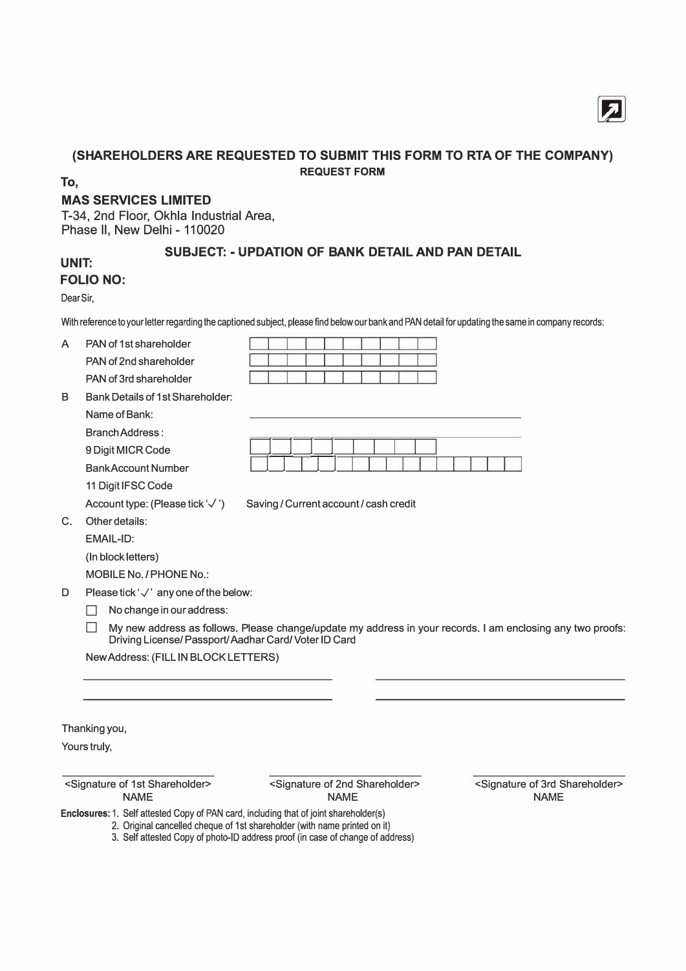

### **(SHAREHOLDERS ARE REQUESTED TO SUBMIT THIS FORM TO RTA OF THE COMPANY) REQUEST FORM**

**To,** 

### **MAS SERVICES LIMITED**

T-34, 2nd Floor, Okhla Industrial Area, Phase II, New Delhi - 110020

### **SUBJECT: - UPDATION OF BANK DETAIL AND PAN DETAIL**

### **UNIT: FOLIO NO:**

Dear Sir,

With reference to your letter regarding the captioned subject, please find below our bank and PAN detail for updating the same in company records:

| A  | PAN of 1st shareholder                                                                |                                                                                                                                                             |                                                                     |
|----|---------------------------------------------------------------------------------------|-------------------------------------------------------------------------------------------------------------------------------------------------------------|---------------------------------------------------------------------|
|    | PAN of 2nd shareholder                                                                |                                                                                                                                                             |                                                                     |
|    | PAN of 3rd shareholder                                                                |                                                                                                                                                             |                                                                     |
| В  | <b>Bank Details of 1st Shareholder:</b>                                               |                                                                                                                                                             |                                                                     |
|    | Name of Bank:                                                                         |                                                                                                                                                             |                                                                     |
|    | <b>Branch Address:</b>                                                                |                                                                                                                                                             |                                                                     |
|    | 9 Digit MICR Code                                                                     |                                                                                                                                                             |                                                                     |
|    | <b>BankAccount Number</b>                                                             |                                                                                                                                                             |                                                                     |
|    | 11 Digit IFSC Code                                                                    |                                                                                                                                                             |                                                                     |
|    | Account type: (Please tick '√')                                                       | Saving / Current account / cash credit                                                                                                                      |                                                                     |
| C. | Other details:                                                                        |                                                                                                                                                             |                                                                     |
|    | EMAIL-ID:                                                                             |                                                                                                                                                             |                                                                     |
|    | (In block letters)                                                                    |                                                                                                                                                             |                                                                     |
|    | MOBILE No. / PHONE No.:                                                               |                                                                                                                                                             |                                                                     |
| D  | Please tick ' $\sqrt{ }$ ' any one of the below:                                      |                                                                                                                                                             |                                                                     |
|    | No change in our address:                                                             |                                                                                                                                                             |                                                                     |
|    | Driving License/ Passport/ Aadhar Card/ Voter ID Card                                 | My new address as follows. Please change/update my address in your records. I am enclosing any two proofs:                                                  |                                                                     |
|    | New Address: (FILL IN BLOCK LETTERS)                                                  |                                                                                                                                                             |                                                                     |
|    |                                                                                       |                                                                                                                                                             |                                                                     |
|    |                                                                                       |                                                                                                                                                             |                                                                     |
|    |                                                                                       |                                                                                                                                                             |                                                                     |
|    | Thanking you,                                                                         |                                                                                                                                                             |                                                                     |
|    | Yours truly,                                                                          |                                                                                                                                                             |                                                                     |
|    |                                                                                       |                                                                                                                                                             |                                                                     |
|    | <signature 1st="" of="" shareholder=""><br/><b>NAME</b></signature>                   | <signature 2nd="" of="" shareholder=""><br/><b>NAME</b></signature>                                                                                         | <signature 3rd="" of="" shareholder=""><br/><b>NAME</b></signature> |
|    | Enclosures: 1. Self attested Copy of PAN card, including that of joint shareholder(s) | 2. Original cancelled cheque of 1st shareholder (with name printed on it)<br>3. Self attested Copy of photo-ID address proof (in case of change of address) |                                                                     |